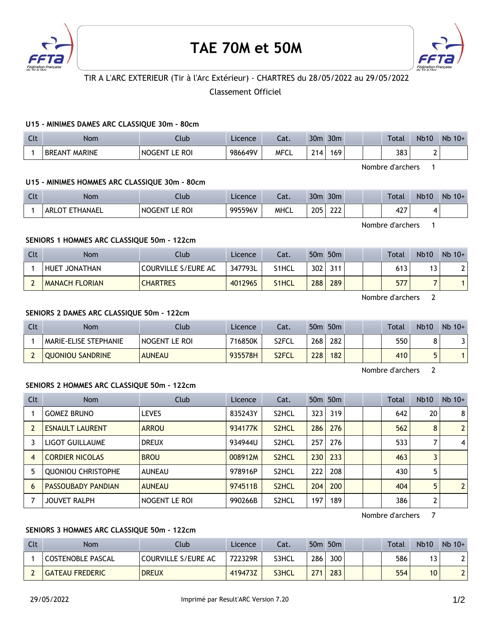

# **TAE 70M et 50M**



## TIR A L'ARC EXTERIEUR (Tir à l'Arc Extérieur) - CHARTRES du 28/05/2022 au 29/05/2022

Classement Officiel

## **U15 - MINIMES DAMES ARC CLASSIQUE 30m - 80cm**

| $\Gamma$<br>UU | Nom                            | Jlub                       | Licence | ۰.,<br>cal. | 30 <sub>m</sub> | 30 <sub>m</sub> |  | <b>Total</b> | <b>Nb10</b> | Nb<br>$10+$ |
|----------------|--------------------------------|----------------------------|---------|-------------|-----------------|-----------------|--|--------------|-------------|-------------|
|                | <b>MARINE</b><br><b>BREANT</b> | <b>ROI</b><br><b>NOGEN</b> | 986649V | MFCL        | 714.            | 169             |  | ר סר<br>دەد  |             |             |

Nombre d'archers 1

Nombre d'archers 1

## **U15 - MINIMES HOMMES ARC CLASSIQUE 30m - 80cm**

| Clt | <b>Nom</b>                   | Club                      | Licence | - 1<br>cal. | 30 <sub>m</sub> | 30 <sub>m</sub> |  | <b>Total</b>  | <b>Nb10</b> | Nb<br>$10+$ |
|-----|------------------------------|---------------------------|---------|-------------|-----------------|-----------------|--|---------------|-------------|-------------|
|     | <b><i>HANAEL</i></b><br>ARLO | <b>RO</b><br><b>NOGEN</b> | 995596V | <b>MHCL</b> | 205<br>$\sim$   | $\sim$<br>ᅩᅩᅩ   |  | $\sim$<br>74, |             |             |

**SENIORS 1 HOMMES ARC CLASSIQUE 50m - 122cm**

| Clt | <b>Nom</b>            | Club                | Licence | Cat.  |     | 50 <sub>m</sub> 50 <sub>m</sub> | Total | <b>Nb10</b> | $Nb 10+$ |
|-----|-----------------------|---------------------|---------|-------|-----|---------------------------------|-------|-------------|----------|
|     | HUET JONATHAN         | COURVILLE S/EURE AC | 347793L | S1HCL | 302 | 311                             | 613   | י           |          |
|     | <b>MANACH FLORIAN</b> | <b>CHARTRES</b>     | 401296S | S1HCL | 288 | 289                             | 577   |             |          |

Nombre d'archers 2

#### **SENIORS 2 DAMES ARC CLASSIQUE 50m - 122cm**

| Clt | Nom                     | <b>Club</b>     | Licence | Cat.               | 50 <sub>m</sub> | 50 <sub>m</sub> |  | Total | <b>Nb10</b> | $Nb$ 10+ |
|-----|-------------------------|-----------------|---------|--------------------|-----------------|-----------------|--|-------|-------------|----------|
|     | MARIE-ELISE STEPHANIE   | I NOGENT LE ROI | 716850K | S2FCL              | 268             | 282             |  | 550   |             |          |
|     | <b>OUONIOU SANDRINE</b> | <b>AUNEAU</b>   | 935578H | S <sub>2</sub> FCL | 228             | 182             |  | 410   |             |          |

Nombre d'archers 2

## **SENIORS 2 HOMMES ARC CLASSIQUE 50m - 122cm**

| Clt            | <b>Nom</b>                | Club          | Licence | Cat.               |       | 50 <sub>m</sub> 50 <sub>m</sub> |  | <b>Total</b> | <b>Nb10</b>    | $Nb$ 10+       |
|----------------|---------------------------|---------------|---------|--------------------|-------|---------------------------------|--|--------------|----------------|----------------|
|                | <b>GOMEZ BRUNO</b>        | <b>LEVES</b>  | 835243Y | S <sub>2</sub> HCL | 323 l | 319                             |  | 642          | 20             | 8 <sup>1</sup> |
|                | <b>ESNAULT LAURENT</b>    | <b>ARROU</b>  | 934177K | S <sub>2</sub> HCL | 286   | 276                             |  | 562          | 8              | 2 <sup>1</sup> |
| 3              | LIGOT GUILLAUME           | <b>DREUX</b>  | 934944U | S <sub>2</sub> HCL | 257   | 276                             |  | 533          |                | $\vert$        |
| $\overline{4}$ | <b>CORDIER NICOLAS</b>    | <b>BROU</b>   | 008912M | S <sub>2</sub> HCL | 230   | 233                             |  | 463          | 3              |                |
| 5              | <b>QUONIOU CHRISTOPHE</b> | <b>AUNEAU</b> | 978916P | S <sub>2</sub> HCL | 222   | 208                             |  | 430          | 5              |                |
| 6              | <b>PASSOUBADY PANDIAN</b> | <b>AUNEAU</b> | 974511B | S <sub>2</sub> HCL | 204   | 200                             |  | 404          | 5              | 2 <sup>1</sup> |
|                | <b>JOUVET RALPH</b>       | NOGENT LE ROI | 990266B | S <sub>2</sub> HCL | 197   | 189                             |  | 386          | $\overline{2}$ |                |

Nombre d'archers 7

## **SENIORS 3 HOMMES ARC CLASSIQUE 50m - 122cm**

| Clt | <b>Nom</b>               | Club                | Licence | Cat.  | 50 <sub>m</sub> | 50 <sub>m</sub>  |  | Total | <b>Nb10</b> | $Nb$ 10+ |
|-----|--------------------------|---------------------|---------|-------|-----------------|------------------|--|-------|-------------|----------|
|     | <b>COSTENOBLE PASCAL</b> | COURVILLE S/EURE AC | 722329R | S3HCL | 286             | 300 <sub>1</sub> |  | 586   |             |          |
|     | <b>GATEAU FREDERIC</b>   | <b>DREUX</b>        | 419473Z | S3HCL | 771             | 283              |  | 554   | 10          |          |